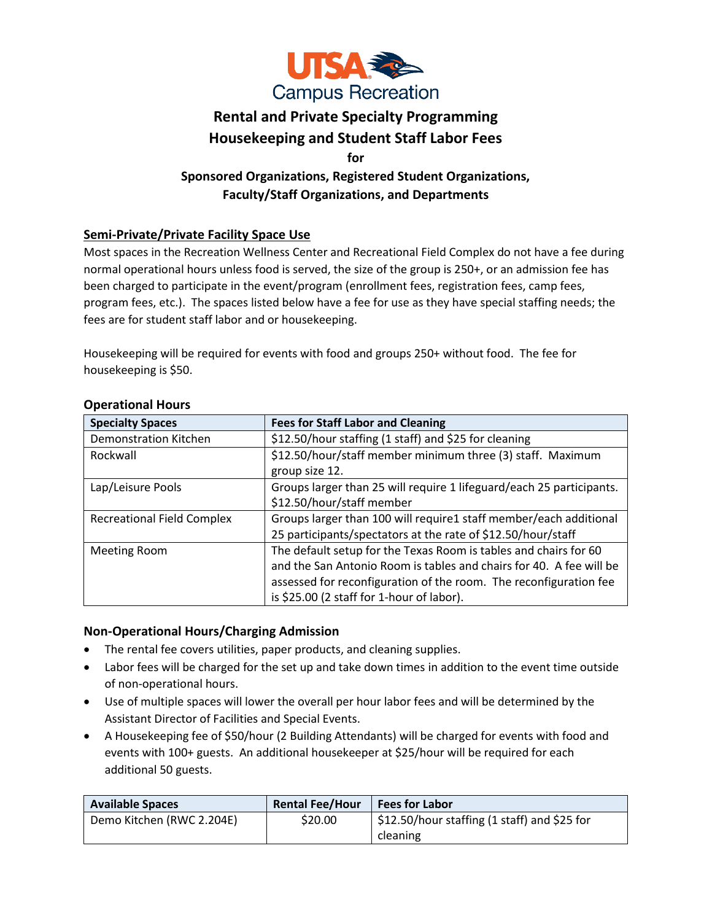

# **Rental and Private Specialty Programming Housekeeping and Student Staff Labor Fees**

**for** 

# **Sponsored Organizations, Registered Student Organizations, Faculty/Staff Organizations, and Departments**

# **Semi-Private/Private Facility Space Use**

Most spaces in the Recreation Wellness Center and Recreational Field Complex do not have a fee during normal operational hours unless food is served, the size of the group is 250+, or an admission fee has been charged to participate in the event/program (enrollment fees, registration fees, camp fees, program fees, etc.). The spaces listed below have a fee for use as they have special staffing needs; the fees are for student staff labor and or housekeeping.

Housekeeping will be required for events with food and groups 250+ without food. The fee for housekeeping is \$50.

| <b>Specialty Spaces</b>           | <b>Fees for Staff Labor and Cleaning</b>                                                                                                                                                                                                                  |
|-----------------------------------|-----------------------------------------------------------------------------------------------------------------------------------------------------------------------------------------------------------------------------------------------------------|
| <b>Demonstration Kitchen</b>      | \$12.50/hour staffing (1 staff) and \$25 for cleaning                                                                                                                                                                                                     |
| Rockwall                          | \$12.50/hour/staff member minimum three (3) staff. Maximum<br>group size 12.                                                                                                                                                                              |
| Lap/Leisure Pools                 | Groups larger than 25 will require 1 lifeguard/each 25 participants.<br>\$12.50/hour/staff member                                                                                                                                                         |
| <b>Recreational Field Complex</b> | Groups larger than 100 will require1 staff member/each additional<br>25 participants/spectators at the rate of \$12.50/hour/staff                                                                                                                         |
| <b>Meeting Room</b>               | The default setup for the Texas Room is tables and chairs for 60<br>and the San Antonio Room is tables and chairs for 40. A fee will be<br>assessed for reconfiguration of the room. The reconfiguration fee<br>is \$25.00 (2 staff for 1-hour of labor). |

#### **Operational Hours**

## **Non-Operational Hours/Charging Admission**

- The rental fee covers utilities, paper products, and cleaning supplies.
- Labor fees will be charged for the set up and take down times in addition to the event time outside of non-operational hours.
- Use of multiple spaces will lower the overall per hour labor fees and will be determined by the Assistant Director of Facilities and Special Events.
- A Housekeeping fee of \$50/hour (2 Building Attendants) will be charged for events with food and events with 100+ guests. An additional housekeeper at \$25/hour will be required for each additional 50 guests.

| <b>Available Spaces</b>   | <b>Rental Fee/Hour</b> | <b>Fees for Labor</b>                                      |
|---------------------------|------------------------|------------------------------------------------------------|
| Demo Kitchen (RWC 2.204E) | \$20.00                | $\frac{1}{2}$ \$12.50/hour staffing (1 staff) and \$25 for |
|                           |                        | cleaning                                                   |